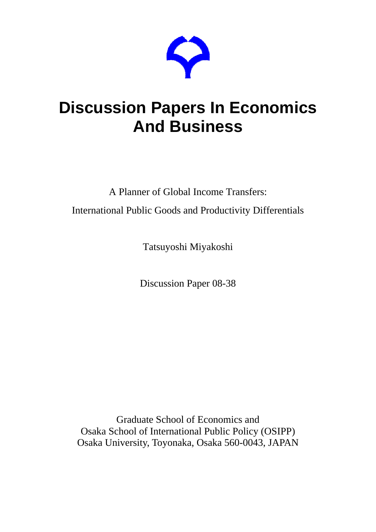

# **Discussion Papers In Economics And Business**

A Planner of Global Income Transfers: International Public Goods and Productivity Differentials

Tatsuyoshi Miyakoshi

Discussion Paper 08-38

Graduate School of Economics and Osaka School of International Public Policy (OSIPP) Osaka University, Toyonaka, Osaka 560-0043, JAPAN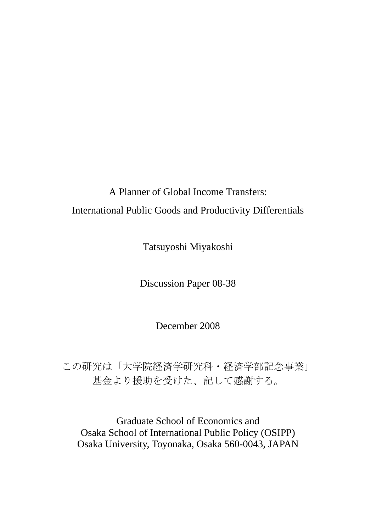## A Planner of Global Income Transfers: International Public Goods and Productivity Differentials

Tatsuyoshi Miyakoshi

Discussion Paper 08-38

December 2008

この研究は「大学院経済学研究科・経済学部記念事業」 基金より援助を受けた、記して感謝する。

Graduate School of Economics and Osaka School of International Public Policy (OSIPP) Osaka University, Toyonaka, Osaka 560-0043, JAPAN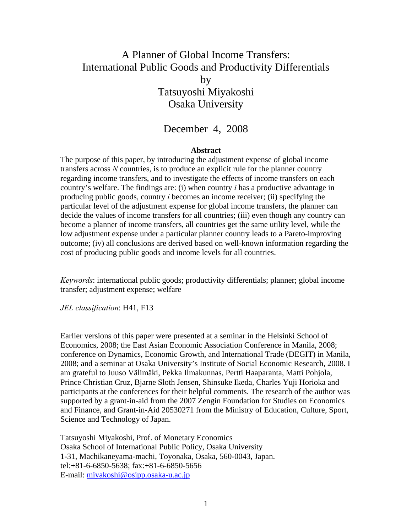### A Planner of Global Income Transfers: International Public Goods and Productivity Differentials by Tatsuyoshi Miyakoshi Osaka University

#### December 4, 2008

#### **Abstract**

The purpose of this paper, by introducing the adjustment expense of global income transfers across *N* countries, is to produce an explicit rule for the planner country regarding income transfers, and to investigate the effects of income transfers on each country's welfare. The findings are: (i) when country *i* has a productive advantage in producing public goods, country *i* becomes an income receiver; (ii) specifying the particular level of the adjustment expense for global income transfers, the planner can decide the values of income transfers for all countries; (iii) even though any country can become a planner of income transfers, all countries get the same utility level, while the low adjustment expense under a particular planner country leads to a Pareto-improving outcome; (iv) all conclusions are derived based on well-known information regarding the cost of producing public goods and income levels for all countries.

*Keywords*: international public goods; productivity differentials; planner; global income transfer; adjustment expense; welfare

*JEL classification*: H41, F13

Earlier versions of this paper were presented at a seminar in the Helsinki School of Economics, 2008; the East Asian Economic Association Conference in Manila, 2008; conference on Dynamics, Economic Growth, and International Trade (DEGIT) in Manila, 2008; and a seminar at Osaka University's Institute of Social Economic Research, 2008. I am grateful to Juuso Välimäki, Pekka Ilmakunnas, Pertti Haaparanta, Matti Pohjola, Prince Christian Cruz, Bjarne Sloth Jensen, Shinsuke Ikeda, Charles Yuji Horioka and participants at the conferences for their helpful comments. The research of the author was supported by a grant-in-aid from the 2007 Zengin Foundation for Studies on Economics and Finance, and Grant-in-Aid 20530271 from the Ministry of Education, Culture, Sport, Science and Technology of Japan.

Tatsuyoshi Miyakoshi, Prof. of Monetary Economics Osaka School of International Public Policy, Osaka University 1-31, Machikaneyama-machi, Toyonaka, Osaka, 560-0043, Japan. tel:+81-6-6850-5638; fax:+81-6-6850-5656 E-mail: miyakoshi@osipp.osaka-u.ac.jp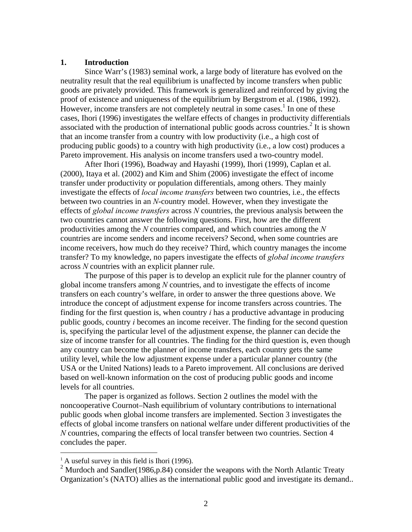#### **1. Introduction**

 Since Warr's (1983) seminal work, a large body of literature has evolved on the neutrality result that the real equilibrium is unaffected by income transfers when public goods are privately provided. This framework is generalized and reinforced by giving the proof of existence and uniqueness of the equilibrium by Bergstrom et al. (1986, 1992). However, income transfers are not completely neutral in some cases.<sup>1</sup> In one of these cases, Ihori (1996) investigates the welfare effects of changes in productivity differentials associated with the production of international public goods across countries.<sup>2</sup> It is shown that an income transfer from a country with low productivity (i.e., a high cost of producing public goods) to a country with high productivity (i.e., a low cost) produces a Pareto improvement. His analysis on income transfers used a two-country model.

 After Ihori (1996), Boadway and Hayashi (1999), Ihori (1999), Caplan et al. (2000), Itaya et al. (2002) and Kim and Shim (2006) investigate the effect of income transfer under productivity or population differentials, among others. They mainly investigate the effects of *local income transfers* between two countries, i.e., the effects between two countries in an *N*-country model. However, when they investigate the effects of *global income transfers* across *N* countries, the previous analysis between the two countries cannot answer the following questions. First, how are the different productivities among the *N* countries compared, and which countries among the *N*  countries are income senders and income receivers? Second, when some countries are income receivers, how much do they receive? Third, which country manages the income transfer? To my knowledge, no papers investigate the effects of *global income transfers* across *N* countries with an explicit planner rule.

 The purpose of this paper is to develop an explicit rule for the planner country of global income transfers among *N* countries, and to investigate the effects of income transfers on each country's welfare, in order to answer the three questions above. We introduce the concept of adjustment expense for income transfers across countries. The finding for the first question is, when country *i* has a productive advantage in producing public goods, country *i* becomes an income receiver. The finding for the second question is, specifying the particular level of the adjustment expense, the planner can decide the size of income transfer for all countries. The finding for the third question is, even though any country can become the planner of income transfers, each country gets the same utility level, while the low adjustment expense under a particular planner country (the USA or the United Nations) leads to a Pareto improvement. All conclusions are derived based on well-known information on the cost of producing public goods and income levels for all countries.

 The paper is organized as follows. Section 2 outlines the model with the noncooperative Cournot–Nash equilibrium of voluntary contributions to international public goods when global income transfers are implemented. Section 3 investigates the effects of global income transfers on national welfare under different productivities of the *N* countries, comparing the effects of local transfer between two countries. Section 4 concludes the paper.

 $\overline{a}$ 

 $<sup>1</sup>$  A useful survey in this field is Ihori (1996).</sup>

<sup>&</sup>lt;sup>2</sup> Murdoch and Sandler(1986,p.84) consider the weapons with the North Atlantic Treaty Organization's (NATO) allies as the international public good and investigate its demand..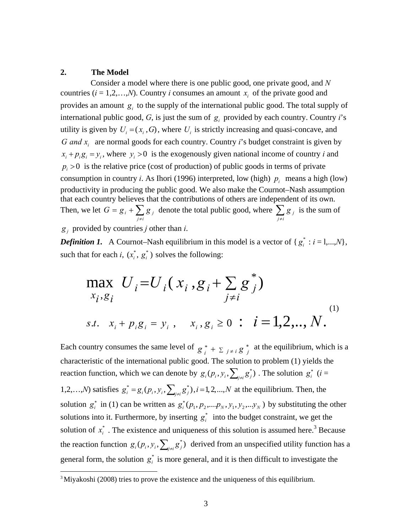#### **2. The Model**

 $\overline{a}$ 

 Consider a model where there is one public good, one private good, and *N* countries  $(i = 1, 2, \ldots, N)$ . Country *i* consumes an amount  $x_i$  of the private good and provides an amount  $g_i$  to the supply of the international public good. The total supply of international public good,  $G$ , is just the sum of  $g_i$  provided by each country. Country *i*'s utility is given by  $U_i = (x_i, G)$ , where  $U_i$  is strictly increasing and quasi-concave, and *G and x*<sub>*i*</sub> are normal goods for each country. Country *i*'s budget constraint is given by  $x_i + p_i g_i = y_i$ , where  $y_i > 0$  is the exogenously given national income of country *i* and  $p_i > 0$  is the relative price (cost of production) of public goods in terms of private consumption in country *i*. As Ihori (1996) interpreted, low (high)  $p_i$  means a high (low) productivity in producing the public good. We also make the Cournot–Nash assumption that each country believes that the contributions of others are independent of its own. Then, we let  $G = g_i + \sum_{j \neq i}$  $G = g_i + \sum_{j \neq i} g_j$  denote the total public good, where  $\sum_{j \neq i}$ *g <sup>j</sup>* is the sum of  $g_i$  provided by countries *j* other than *i*.

*Definition 1.* A Cournot–Nash equilibrium in this model is a vector of  $\{g_i^* : i = 1,...,N\}$ , such that for each *i*,  $(x_i^*, g_i^*)$  solves the following:

$$
\max_{x_i, g_i} U_i = U_i (x_i, g_i + \sum_{j \neq i} g_j^*)
$$
  
s.t.  $x_i + p_i g_i = y_i$ ,  $x_i, g_i \ge 0$ :  $i = 1, 2, ..., N$ .<sup>(1)</sup>

Each country consumes the same level of  $g_i^* + \sum_{j \neq i} g_j^*$  at the equilibrium, which is a characteristic of the international public good. The solution to problem (1) yields the reaction function, which we can denote by  $g_i(p_i, y_i, \sum_{j\neq i} g_j^*)$ . The solution  $g_i^*$  (*i* = 1,2,...,*N*) satisfies  $g_i^* = g_i(p_i, y_i, \sum_{j \neq i} g_j^*)$ ,  $i = 1, 2, ..., N$  at the equilibrium. Then, the solution  $g_i^*$  in (1) can be written as  $g_i^*(p_1, p_2,...,p_N, y_1, y_2,...,y_N)$  by substituting the other solutions into it. Furthermore, by inserting  $g_i^*$  into the budget constraint, we get the solution of  $x_i^*$ . The existence and uniqueness of this solution is assumed here.<sup>3</sup> Because the reaction function  $g_i(p_i, y_i, \sum_{j \neq i} g_j^*)$  derived from an unspecified utility function has a general form, the solution  $g_i^*$  is more general, and it is then difficult to investigate the

 $3$  Miyakoshi (2008) tries to prove the existence and the uniqueness of this equilibrium.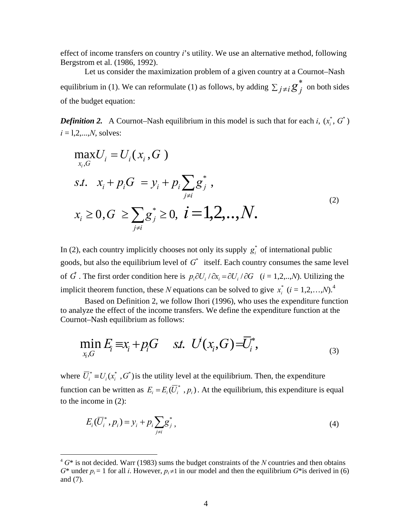effect of income transfers on country *i*'s utility. We use an alternative method, following Bergstrom et al. (1986, 1992).

 Let us consider the maximization problem of a given country at a Cournot–Nash equilibrium in (1). We can reformulate (1) as follows, by adding  $\sum_{j \neq j}$  $j \neq i$   $g^*$  on both sides of the budget equation:

*Definition 2.* A Cournot–Nash equilibrium in this model is such that for each *i*,  $(x_i^*, G^*)$  $i = 1, 2, ..., N$ , solves:

$$
\max_{x_i, G} U_i = U_i(x_i, G)
$$
  
s.t.  $x_i + p_i G = y_i + p_i \sum_{j \neq i} g_j^*$ ,  
 $x_i \ge 0, G \ge \sum_{j \neq i} g_j^* \ge 0, i = 1, 2, ..., N.$  (2)

In (2), each country implicitly chooses not only its supply  $g_i^*$  of international public goods, but also the equilibrium level of  $G^*$  itself. Each country consumes the same level of  $\vec{G}$ . The first order condition here is  $p_i \partial U_i / \partial x_i = \partial U_i / \partial G$  (*i* = 1,2,..,*N*). Utilizing the implicit theorem function, these *N* equations can be solved to give  $x_i^*$  ( $i = 1, 2, ..., N$ ).<sup>4</sup>

 Based on Definition 2, we follow Ihori (1996), who uses the expenditure function to analyze the effect of the income transfers. We define the expenditure function at the Cournot–Nash equilibrium as follows:

$$
\min_{x_i, G} E_i \equiv x_i + p_i G \quad \text{st. } U(x_i, G) = \overline{U}_i^*,
$$
\n(3)

where  $\overline{U}_i^* = U_i(x_i^*, G^*)$  is the utility level at the equilibrium. Then, the expenditure function can be written as  $E_i = E_i(\overline{U}_i^*, p_i)$ . At the equilibrium, this expenditure is equal to the income in (2):

$$
E_i(\overline{U}_i^*, p_i) = y_i + p_i \sum_{j \neq i} g_j^*,
$$
\n(4)

 $\overline{a}$ 

<sup>4</sup> *G*\* is not decided. Warr (1983) sums the budget constraints of the *N* countries and then obtains  $G^*$  under  $p_i = 1$  for all *i*. However,  $p_i \neq 1$  in our model and then the equilibrium  $G^*$  is derived in (6) and (7).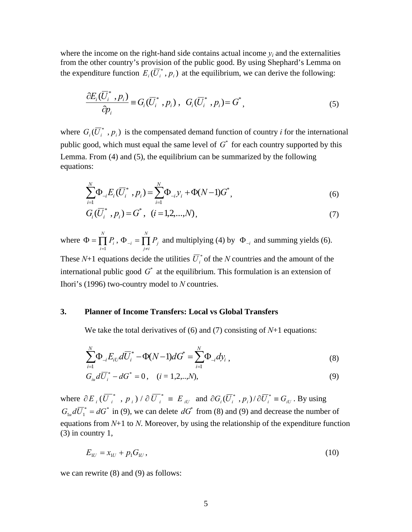where the income on the right-hand side contains actual income  $y_i$  and the externalities from the other country's provision of the public good. By using Shephard's Lemma on the expenditure function  $E_i(\overline{U}_i^*, p_i)$  at the equilibrium, we can derive the following:

$$
\frac{\partial E_i(\overline{U}_i^*, p_i)}{\partial p_i} \equiv G_i(\overline{U}_i^*, p_i), \ G_i(\overline{U}_i^*, p_i) = G^*, \tag{5}
$$

where  $G_i(\overline{U}_i^*, p_i)$  is the compensated demand function of country *i* for the international public good, which must equal the same level of  $G^*$  for each country supported by this Lemma. From (4) and (5), the equilibrium can be summarized by the following equations:

$$
\sum_{i=1}^{N} \Phi_{-i} E_i (\overline{U}_i^*, p_i) = \sum_{i=1}^{N} \Phi_{-i} y_i + \Phi(N-1) G^*,
$$
\n(6)

$$
G_i(\overline{U}_i^*, p_i) = G^*, \ \ (i = 1, 2, \dots, N), \tag{7}
$$

where  $\Phi = \prod^N P_i$ ,  $\Phi_{-i} = \prod^N P_j$  $\sum_{i}$ ,  $\Psi_{-i}$  – **j** *N*  $\prod_{i=1} P_i$ ,  $\Phi_{-i} = \prod_{j \neq i} P_j$  $\Phi = \prod P_i$ ,  $\Phi_{-i}$  $\prod_{i=1} P_i$ ,  $\Phi_{-i} = \prod_{j \neq i} P_j$  and multiplying (4) by  $\Phi_{-i}$  and summing yields (6).

These  $N+1$  equations decide the utilities  $\overline{U}_i^*$  of the *N* countries and the amount of the international public good  $G^*$  at the equilibrium. This formulation is an extension of Ihori's (1996) two-country model to *N* countries.

#### **3. Planner of Income Transfers: Local vs Global Transfers**

We take the total derivatives of (6) and (7) consisting of *N*+1 equations:

$$
\sum_{i=1}^{N} \Phi_{-i} E_{iU} d\overline{U}_{i}^{*} - \Phi(N-1)dG^{*} = \sum_{i=1}^{N} \Phi_{-i} dy_{i} , \qquad (8)
$$

$$
G_{i\mu}d\overline{U}_{i}^{*}-dG^{*}=0, \quad (i=1,2,...,N),
$$
\n(9)

where  $\partial E_i(\overline{U_i}^*$ ,  $p_i) / \partial \overline{U_i}^* \equiv E_{iU}$  and  $\partial G_i(\overline{U_i}^*$ ,  $p_i) / \partial \overline{U_i}^* \equiv G_{iU}$ . By using  $G_{1u} d\overline{U}_1^* = dG^*$  in (9), we can delete  $dG^*$  from (8) and (9) and decrease the number of equations from *N*+1 to *N*. Moreover, by using the relationship of the expenditure function (3) in country 1,

$$
E_{1U} = x_{1U} + p_1 G_{1U}, \tag{10}
$$

we can rewrite (8) and (9) as follows: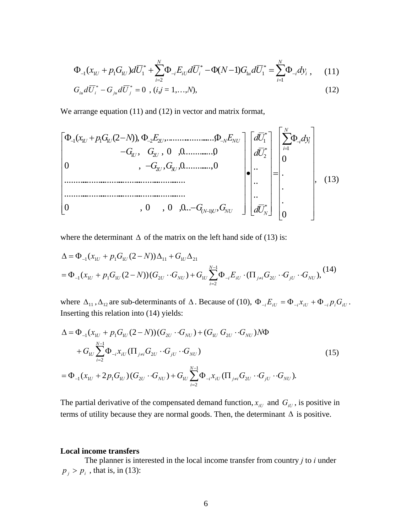$$
\Phi_{-1}(x_{1U} + p_1 G_{1U}) d\overline{U}_1^* + \sum_{i=2}^N \Phi_{-i} E_{iU} d\overline{U}_i^* - \Phi(N-1) G_{1u} d\overline{U}_1^* = \sum_{i=1}^N \Phi_{-i} dy_i , \quad (11)
$$

$$
G_{i\mu}d\overline{U}_i^* - G_{j\mu}d\overline{U}_j^* = 0 \, , (i,j = 1,...,N), \tag{12}
$$

We arrange equation (11) and (12) in vector and matrix format,

 0 . . . 0 .. .. .. 0 , 0 , 0 ,0... , ............................................................ ............................................................ 0 , , ,0...............,0 , , 0 ,0.............,0 ( (2 )), ,......................., 1 \* \* 2 \* 1 ( 1) 2 3 1 2 1 1 1 1 2 2 *N i i i N N U NU U U U U <sup>U</sup> <sup>U</sup> <sup>U</sup> <sup>N</sup> NU dy dU dU dU G G G G G G x pG N E E* , (13)

where the determinant  $\Delta$  of the matrix on the left hand side of (13) is:

$$
\Delta = \Phi_{-1}(x_{1U} + p_1 G_{1U}(2 - N))\Delta_{11} + G_{1U}\Delta_{21}
$$
  
=  $\Phi_{-1}(x_{1U} + p_1 G_{1U}(2 - N))(G_{2U} \cdot G_{NU}) + G_{1U} \sum_{i=2}^{N-1} \Phi_{-i} E_{iU} \cdot (\Pi_{j \neq i} G_{2U} \cdot G_{jU} \cdot G_{NU}),$  (14)

where  $\Delta_{11}$ ,  $\Delta_{12}$  are sub-determinants of  $\Delta$ . Because of (10),  $\Phi_{-i}E_{iU} = \Phi_{-i}x_{iU} + \Phi_{-i}p_iG_{iU}$ . Inserting this relation into (14) yields:

$$
\Delta = \Phi_{-1}(x_{1U} + p_1 G_{1U} (2 - N))(G_{2U} \cdot G_{NU}) + (G_{1U} G_{2U} \cdot G_{NU})N\Phi \n+ G_{1U} \sum_{i=2}^{N-1} \Phi_{-i} x_{iU} (\Pi_{j \neq i} G_{2U} \cdot G_{jU} \cdot G_{NU}) \n= \Phi_{-1}(x_{1U} + 2p_1 G_{1U}) (G_{2U} \cdot G_{NU}) + G_{1U} \sum_{i=2}^{N-1} \Phi_{-i} x_{iU} (\Pi_{j \neq i} G_{2U} \cdot G_{jU} \cdot G_{NU}).
$$
\n(15)

The partial derivative of the compensated demand function,  $x_{iU}$  and  $G_{iU}$ , is positive in terms of utility because they are normal goods. Then, the determinant  $\Delta$  is positive.

#### **Local income transfers**

 The planner is interested in the local income transfer from country *j* to *i* under  $p_i > p_i$ , that is, in (13):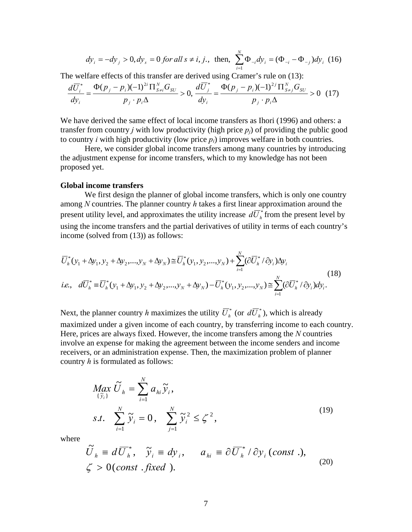$$
dy_i = -dy_j > 0, dy_s = 0
$$
 for all  $s \neq i, j$ , then,  $\sum_{i=1}^{N} \Phi_{-i} dy_i = (\Phi_{-i} - \Phi_{-j}) dy_i$  (16)

The welfare effects of this transfer are derived using Cramer's rule on (13):

$$
\frac{d\overline{U}_{i}^{*}}{dy_{i}} = \frac{\Phi(p_{j} - p_{i})(-1)^{2i} \prod_{S \neq i}^{N} G_{SU}}{p_{j} \cdot p_{i} \Delta} > 0, \frac{d\overline{U}_{j}^{*}}{dy_{i}} = \frac{\Phi(p_{j} - p_{i})(-1)^{2j} \prod_{S \neq j}^{N} G_{SU}}{p_{j} \cdot p_{i} \Delta} > 0 \tag{17}
$$

We have derived the same effect of local income transfers as Ihori (1996) and others: a transfer from country *j* with low productivity (high price  $p_i$ ) of providing the public good to country *i* with high productivity (low price  $p_i$ ) improves welfare in both countries.

 Here, we consider global income transfers among many countries by introducing the adjustment expense for income transfers, which to my knowledge has not been proposed yet.

#### **Global income transfers**

 We first design the planner of global income transfers, which is only one country among *N* countries. The planner country *h* takes a first linear approximation around the present utility level, and approximates the utility increase  $d\overline{U}_h^*$  from the present level by using the income transfers and the partial derivatives of utility in terms of each country's income (solved from (13)) as follows:

$$
\overline{U}_{h}^{*}(y_{1} + \Delta y_{1}, y_{2} + \Delta y_{2},..., y_{N} + \Delta y_{N}) \cong \overline{U}_{h}^{*}(y_{1}, y_{2},..., y_{N}) + \sum_{i=1}^{N} (\partial \overline{U}_{h}^{*} / \partial y_{i}) \Delta y_{i}
$$
\n*i.e.,*  $d\overline{U}_{h}^{*} \cong \overline{U}_{h}^{*}(y_{1} + \Delta y_{1}, y_{2} + \Delta y_{2},..., y_{N} + \Delta y_{N}) - \overline{U}_{h}^{*}(y_{1}, y_{2},..., y_{N}) \cong \sum_{i=1}^{N} (\partial \overline{U}_{h}^{*} / \partial y_{i}) dy_{i}.$ \n
$$
(18)
$$

Next, the planner country *h* maximizes the utility  $\overline{U}_h^*$  (or  $d\overline{U}_h^*$ ), which is already maximized under a given income of each country, by transferring income to each country. Here, prices are always fixed. However, the income transfers among the *N* countries involve an expense for making the agreement between the income senders and income receivers, or an administration expense. Then, the maximization problem of planner country *h* is formulated as follows:

$$
\begin{aligned}\n\underset{\{\tilde{\mathcal{Y}}_i\}}{\text{Max}} \widetilde{U}_h &= \sum_{i=1}^N a_{hi} \widetilde{\mathcal{Y}}_i, \\
\text{s.t.} \quad \sum_{i=1}^N \widetilde{\mathcal{Y}}_i &= 0, \quad \sum_{j=1}^N \widetilde{\mathcal{Y}}_i^2 \le \zeta^2,\n\end{aligned} \tag{19}
$$

where

$$
\widetilde{U}_h \equiv d \overline{U}_h^*, \quad \widetilde{y}_i \equiv dy_i, \qquad a_{hi} \equiv \partial \overline{U}_h^* / \partial y_i \text{ (const .)},
$$
\n
$$
\zeta > 0 \text{ (const . fixed ).}
$$
\n(20)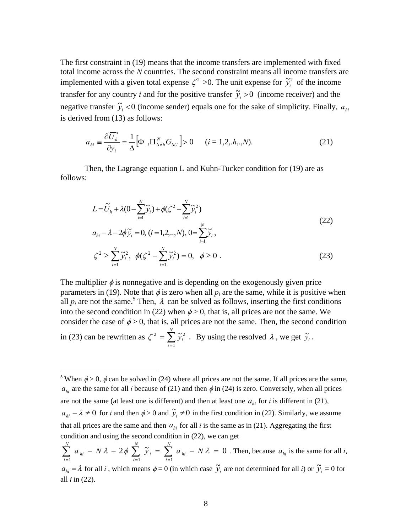The first constraint in (19) means that the income transfers are implemented with fixed total income across the *N* countries. The second constraint means all income transfers are implemented with a given total expense  $\zeta^2 > 0$ . The unit expense for  $\tilde{y}_i^2$  of the income transfer for any country *i* and for the positive transfer  $\tilde{y}_i > 0$  (income receiver) and the negative transfer  $\tilde{y}_i$  <0 (income sender) equals one for the sake of simplicity. Finally,  $a_{hi}$ is derived from (13) as follows:

$$
a_{hi} = \frac{\partial \overline{U}_h^*}{\partial y_i} = \frac{1}{\Delta} \Big[ \Phi_{-i} \Pi_{S \neq h}^N G_{SU} \Big] > 0 \qquad (i = 1, 2, h, . , N). \tag{21}
$$

 Then, the Lagrange equation L and Kuhn-Tucker condition for (19) are as follows:

$$
L = \widetilde{U}_h + \lambda (0 - \sum_{i=1}^N \widetilde{y}_i) + \phi(\zeta^2 - \sum_{i=1}^N \widetilde{y}_i^2)
$$
  
\n
$$
a_{hi} - \lambda - 2\phi \widetilde{y}_i = 0, \ (i = 1, 2, ..., N), \ 0 = \sum_{i=1}^N \widetilde{y}_i,
$$
  
\n
$$
\zeta^2 \ge \sum_{i=1}^N \widetilde{y}_i^2, \ \ \phi(\zeta^2 - \sum_{i=1}^N \widetilde{y}_i^2) = 0, \ \ \phi \ge 0.
$$
\n(23)

The multiplier  $\phi$  is nonnegative and is depending on the exogenously given price parameters in (19). Note that  $\phi$  is zero when all  $p_i$  are the same, while it is positive when all  $p_i$  are not the same.<sup>5</sup> Then,  $\lambda$  can be solved as follows, inserting the first conditions into the second condition in (22) when  $\phi > 0$ , that is, all prices are not the same. We consider the case of  $\phi > 0$ , that is, all prices are not the same. Then, the second condition in (23) can be rewritten as  $\zeta^2 = \sum_{i=1}^N$ *i*  $\widetilde{y}_i$ 1  $\zeta^2 = \sum_{i=1}^{N} \tilde{y}_i^2$ . By using the resolved  $\lambda$ , we get  $\tilde{y}_i$ .

 $\overline{a}$ 

<sup>&</sup>lt;sup>5</sup> When  $\phi > 0$ ,  $\phi$  can be solved in (24) where all prices are not the same. If all prices are the same,  $a_{hi}$  are the same for all *i* because of (21) and then  $\phi$  in (24) is zero. Conversely, when all prices are not the same (at least one is different) and then at least one  $a_{hi}$  for *i* is different in (21),  $a_{hi} - \lambda \neq 0$  for *i* and then  $\phi > 0$  and  $\tilde{y}_i \neq 0$  in the first condition in (22). Similarly, we assume that all prices are the same and then  $a_{hi}$  for all *i* is the same as in (21). Aggregating the first condition and using the second condition in (22), we can get

 $2\phi \sum_{i=1}^{N} \widetilde{y}_{i} = \sum_{i=1}^{N} a_{ki} - N\lambda = 0$  $\sum_{i=1} a_{hi} - N\lambda - 2\phi \sum_{i=1} \tilde{y}_i = \sum_{i=1} a_{hi} - N\lambda =$ *N i hi N i i N i*  $\delta_{hi}$  -  $N\lambda$  -  $2\phi$   $\sum \tilde{y}_i = \sum a_{hi} - N\lambda = 0$ . Then, because  $a_{hi}$  is the same for all *i*,  $a_{hi} = \lambda$  for all *i*, which means  $\phi = 0$  (in which case  $\tilde{y}_i$  are not determined for all *i*) or  $\tilde{y}_i = 0$  for all *i* in (22).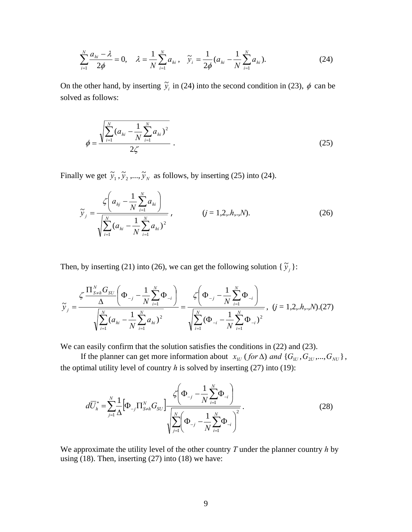$$
\sum_{i=1}^{N} \frac{a_{hi} - \lambda}{2\phi} = 0, \quad \lambda = \frac{1}{N} \sum_{i=1}^{N} a_{hi}, \quad \tilde{y}_i = \frac{1}{2\phi} (a_{hi} - \frac{1}{N} \sum_{i=1}^{N} a_{hi}).
$$
 (24)

On the other hand, by inserting  $\tilde{y}_i$  in (24) into the second condition in (23),  $\phi$  can be solved as follows:

$$
\phi = \frac{\sqrt{\sum_{i=1}^{N} (a_{hi} - \frac{1}{N} \sum_{i=1}^{N} a_{hi})^2}}{2\zeta} \tag{25}
$$

Finally we get  $\tilde{y}_1$ ,  $\tilde{y}_2$ ,...,  $\tilde{y}_N$  as follows, by inserting (25) into (24).

$$
\widetilde{y}_{j} = \frac{\zeta\left(a_{hj} - \frac{1}{N} \sum_{i=1}^{N} a_{hi}\right)}{\sqrt{\sum_{i=1}^{N} (a_{hi} - \frac{1}{N} \sum_{i=1}^{N} a_{hi})^{2}}}, \qquad (j = 1, 2, h_{\cdot}, N). \qquad (26)
$$

Then, by inserting (21) into (26), we can get the following solution {  $\tilde{y}_j$  }:

$$
\widetilde{y}_{j} = \frac{\zeta \frac{\prod_{S \neq h}^{N} G_{SU}}{\Delta} \left(\Phi_{-j} - \frac{1}{N} \sum_{i=1}^{N} \Phi_{-i}\right)}{\sqrt{\sum_{i=1}^{N} (a_{hi} - \frac{1}{N} \sum_{i=1}^{N} a_{hi})^{2}}} = \frac{\zeta \left(\Phi_{-j} - \frac{1}{N} \sum_{i=1}^{N} \Phi_{-i}\right)}{\sqrt{\sum_{i=1}^{N} (\Phi_{-i} - \frac{1}{N} \sum_{i=1}^{N} \Phi_{-i})^{2}}}, \quad (j = 1, 2, h_{\cdot}, N) \cdot (27)
$$

We can easily confirm that the solution satisfies the conditions in  $(22)$  and  $(23)$ .

If the planner can get more information about  $x_{1U}$  (for  $\Delta$ ) and  $\{G_{1U}, G_{2U}, ..., G_{NU}\}$ , the optimal utility level of country  $h$  is solved by inserting  $(27)$  into  $(19)$ :

$$
d\overline{U}_{h}^{*} = \sum_{j=1}^{N} \frac{1}{\Delta} \Big[ \Phi_{-j} \Pi_{S \neq h}^{N} G_{SU} \Big] \frac{\zeta \Big( \Phi_{-j} - \frac{1}{N} \sum_{i=1}^{N} \Phi_{-i} \Big)}{\sqrt{\sum_{j=1}^{N} \Big( \Phi_{-j} - \frac{1}{N} \sum_{i=1}^{N} \Phi_{-i} \Big)^{2}}}.
$$
\n(28)

We approximate the utility level of the other country *T* under the planner country *h* by using  $(18)$ . Then, inserting  $(27)$  into  $(18)$  we have: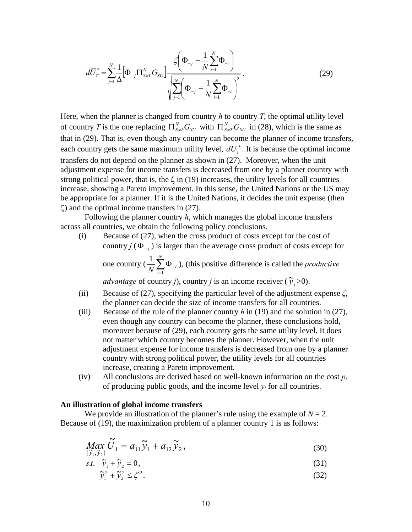$$
d\overline{U}_{T}^{*} = \sum_{j=1}^{N} \frac{1}{\Delta} \Big[ \Phi_{-j} \Pi_{S \neq T}^{N} G_{SU} \Big] \frac{\zeta \Big( \Phi_{-j} - \frac{1}{N} \sum_{i=1}^{N} \Phi_{-i} \Big)}{\sqrt{\sum_{j=1}^{N} \Big( \Phi_{-j} - \frac{1}{N} \sum_{i=1}^{N} \Phi_{-i} \Big)^{2}}}.
$$
(29)

Here, when the planner is changed from country *h* to country *T*, the optimal utility level of country *T* is the one replacing  $\Pi_{S \neq h}^{N} G_{SU}$  with  $\Pi_{S \neq T}^{N} G_{SU}$  in (28), which is the same as that in (29). That is, even though any country can become the planner of income transfers, each country gets the same maximum utility level,  $d\overline{U}_i^*$ . It is because the optimal income transfers do not depend on the planner as shown in (27). Moreover, when the unit adjustment expense for income transfers is decreased from one by a planner country with strong political power, that is, the  $\zeta$  in (19) increases, the utility levels for all countries increase, showing a Pareto improvement. In this sense, the United Nations or the US may be appropriate for a planner. If it is the United Nations, it decides the unit expense (then  $\zeta$ ) and the optimal income transfers in (27).

 Following the planner country *h*, which manages the global income transfers across all countries, we obtain the following policy conclusions.

(i) Because of (27), when the cross product of costs except for the cost of country  $j$  ( $\Phi_{i,j}$ ) is larger than the average cross product of costs except for one country ( $\frac{1}{N} \sum_{i=1}^{N} \Phi$ <sub>-</sub>  $\overline{N}$   $\overline{\smash[b]{\sum_{i=1}^{\mathbf{p}} 0}}$   $\overline{\mathbf{P}}$   $-i$  $\frac{1}{N} \sum_{i=1}^{N} \Phi_{i,j}$ , (this positive difference is called the *productive* 

*advantage* of country *j*), country *j* is an income receiver ( $\tilde{y}_j$  >0).

- (ii) Because of (27), specifying the particular level of the adjustment expense *ζ*, the planner can decide the size of income transfers for all countries.
- (iii) Because of the rule of the planner country *h* in (19) and the solution in (27), even though any country can become the planner, these conclusions hold, moreover because of (29), each country gets the same utility level. It does not matter which country becomes the planner. However, when the unit adjustment expense for income transfers is decreased from one by a planner country with strong political power, the utility levels for all countries increase, creating a Pareto improvement.
- (iv) All conclusions are derived based on well-known information on the cost *pi* of producing public goods, and the income level  $y_i$  for all countries.

#### **An illustration of global income transfers**

We provide an illustration of the planner's rule using the example of  $N = 2$ . Because of (19), the maximization problem of a planner country 1 is as follows:

$$
\underset{\{\tilde{y}_1, \tilde{y}_2\}}{\text{Max}} \tilde{U}_1 = a_{11} \tilde{y}_1 + a_{12} \tilde{y}_2,\tag{30}
$$

$$
s.t. \quad \tilde{y}_1 + \tilde{y}_2 = 0,\tag{31}
$$

$$
\tilde{y}_1^2 + \tilde{y}_2^2 \le \zeta^2. \tag{32}
$$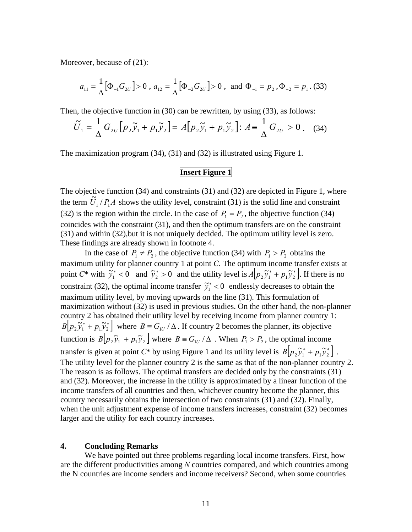Moreover, because of (21):

$$
a_{11} = \frac{1}{\Delta} [\Phi_{-1} G_{2U}] > 0
$$
,  $a_{12} = \frac{1}{\Delta} [\Phi_{-2} G_{2U}] > 0$ , and  $\Phi_{-1} = p_2$ ,  $\Phi_{-2} = p_1$ . (33)

Then, the objective function in (30) can be rewritten, by using (33), as follows:

$$
\widetilde{U}_1 = \frac{1}{\Delta} G_{2U} \left[ p_2 \widetilde{y}_1 + p_1 \widetilde{y}_2 \right] = A \left[ p_2 \widetilde{y}_1 + p_1 \widetilde{y}_2 \right] : A \equiv \frac{1}{\Delta} G_{2U} > 0 \tag{34}
$$

The maximization program (34), (31) and (32) is illustrated using Figure 1.

#### **Insert Figure 1**

The objective function (34) and constraints (31) and (32) are depicted in Figure 1, where the term  $\tilde{U}_1 / P_1 A$  shows the utility level, constraint (31) is the solid line and constraint (32) is the region within the circle. In the case of  $P_1 = P_2$ , the objective function (34) coincides with the constraint (31), and then the optimum transfers are on the constraint (31) and within (32),but it is not uniquely decided. The optimum utility level is zero. These findings are already shown in footnote 4.

In the case of  $P_1 \neq P_2$ , the objective function (34) with  $P_1 > P_2$  obtains the maximum utility for planner country 1 at point *C*. The optimum income transfer exists at point  $C^*$  with  $\tilde{y}_1^* < 0$  and  $\tilde{y}_2^* > 0$  and the utility level is  $A[p_2 \tilde{y}_1^* + p_1 \tilde{y}_2^*]$ . If there is no constraint (32), the optimal income transfer  $\tilde{y}_1^* < 0$  endlessly decreases to obtain the maximum utility level, by moving upwards on the line (31). This formulation of maximization without (32) is used in previous studies. On the other hand, the non-planner country 2 has obtained their utility level by receiving income from planner country 1:  $B[p_2\tilde{y}_1^* + p_1\tilde{y}_2^*]$  where  $B = G_{1U}/\Delta$ . If country 2 becomes the planner, its objective function is  $B[p_2\tilde{y}_1 + p_1\tilde{y}_2]$  where  $B = G_{1U}/\Delta$ . When  $P_1 > P_2$ , the optimal income transfer is given at point  $C^*$  by using Figure 1 and its utility level is  $B[p_2 \tilde{y}_1^* + p_1 \tilde{y}_2^*]$ . The utility level for the planner country 2 is the same as that of the non-planner country 2. The reason is as follows. The optimal transfers are decided only by the constraints (31) and (32). Moreover, the increase in the utility is approximated by a linear function of the income transfers of all countries and then, whichever country become the planner, this country necessarily obtains the intersection of two constraints (31) and (32). Finally, when the unit adjustment expense of income transfers increases, constraint (32) becomes larger and the utility for each country increases.

#### **4. Concluding Remarks**

 We have pointed out three problems regarding local income transfers. First, how are the different productivities among *N* countries compared, and which countries among the N countries are income senders and income receivers? Second, when some countries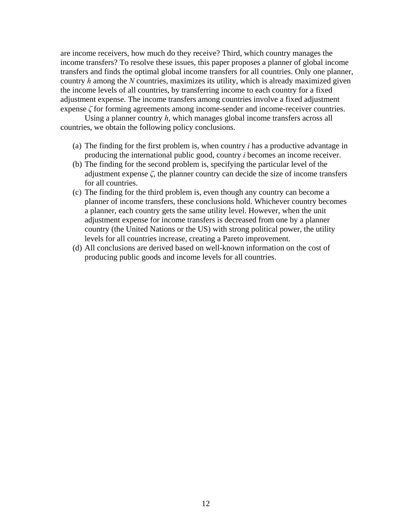are income receivers, how much do they receive? Third, which country manages the income transfers? To resolve these issues, this paper proposes a planner of global income transfers and finds the optimal global income transfers for all countries. Only one planner, country *h* among the *N* countries, maximizes its utility, which is already maximized given the income levels of all countries, by transferring income to each country for a fixed adjustment expense. The income transfers among countries involve a fixed adjustment expense *ζ* for forming agreements among income-sender and income-receiver countries.

 Using a planner country *h*, which manages global income transfers across all countries, we obtain the following policy conclusions.

- (a) The finding for the first problem is, when country *i* has a productive advantage in producing the international public good, country *i* becomes an income receiver.
- (b) The finding for the second problem is, specifying the particular level of the adjustment expense *ζ*, the planner country can decide the size of income transfers for all countries.
- (c) The finding for the third problem is, even though any country can become a planner of income transfers, these conclusions hold. Whichever country becomes a planner, each country gets the same utility level. However, when the unit adjustment expense for income transfers is decreased from one by a planner country (the United Nations or the US) with strong political power, the utility levels for all countries increase, creating a Pareto improvement.
- (d) All conclusions are derived based on well-known information on the cost of producing public goods and income levels for all countries.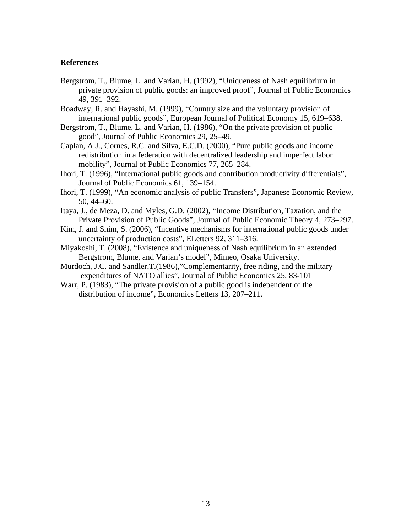#### **References**

- Bergstrom, T., Blume, L. and Varian, H. (1992), "Uniqueness of Nash equilibrium in private provision of public goods: an improved proof", Journal of Public Economics 49, 391–392.
- Boadway, R. and Hayashi, M. (1999), "Country size and the voluntary provision of international public goods", European Journal of Political Economy 15, 619–638.
- Bergstrom, T., Blume, L. and Varian, H. (1986), "On the private provision of public good", Journal of Public Economics 29, 25–49.
- Caplan, A.J., Cornes, R.C. and Silva, E.C.D. (2000), "Pure public goods and income redistribution in a federation with decentralized leadership and imperfect labor mobility", Journal of Public Economics 77, 265–284.
- Ihori, T. (1996), "International public goods and contribution productivity differentials", Journal of Public Economics 61, 139–154.
- Ihori, T. (1999), "An economic analysis of public Transfers", Japanese Economic Review, 50, 44–60.
- Itaya, J., de Meza, D. and Myles, G.D. (2002), "Income Distribution, Taxation, and the Private Provision of Public Goods", Journal of Public Economic Theory 4, 273–297.
- Kim, J. and Shim, S. (2006), "Incentive mechanisms for international public goods under uncertainty of production costs", ELetters 92, 311–316.
- Miyakoshi, T. (2008), "Existence and uniqueness of Nash equilibrium in an extended Bergstrom, Blume, and Varian's model", Mimeo, Osaka University.
- Murdoch, J.C. and Sandler,T.(1986),"Complementarity, free riding, and the military expenditures of NATO allies", Journal of Public Economics 25, 83-101
- Warr, P. (1983), "The private provision of a public good is independent of the distribution of income", Economics Letters 13, 207–211.